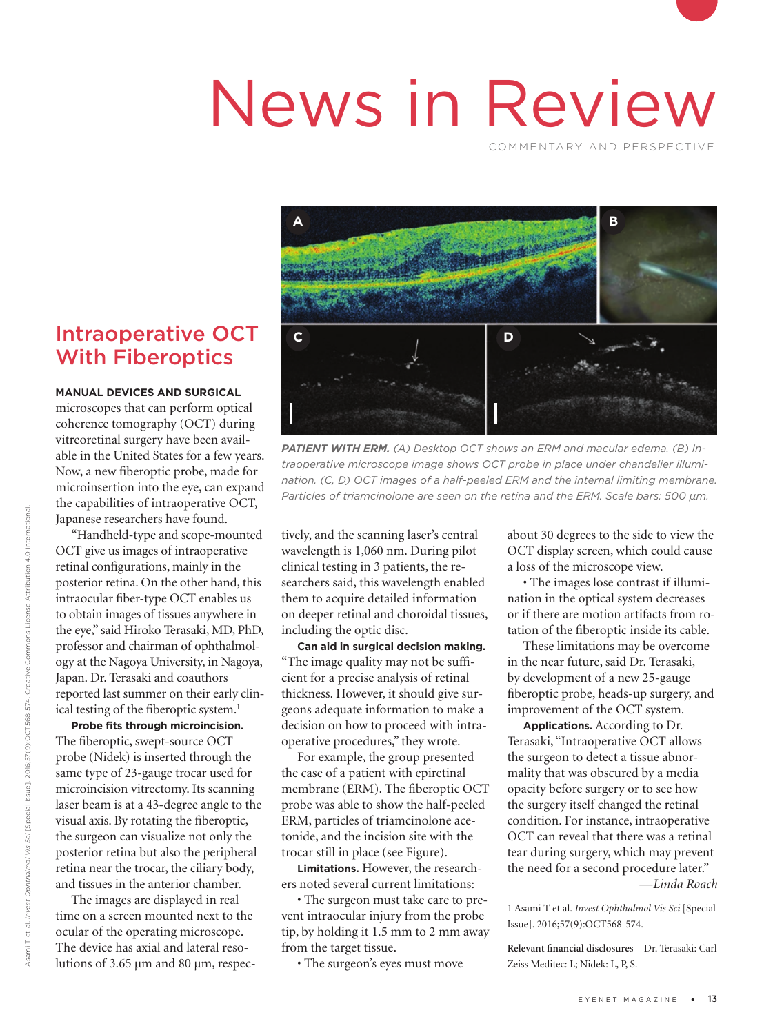# News in Review

COMMENTARY AND PERSPECTIVE



*PATIENT WITH ERM. (A) Desktop OCT shows an ERM and macular edema. (B) Intraoperative microscope image shows OCT probe in place under chandelier illumination. (C, D) OCT images of a half-peeled ERM and the internal limiting membrane. Particles of triamcinolone are seen on the retina and the ERM. Scale bars: 500 μm.*

tively, and the scanning laser's central wavelength is 1,060 nm. During pilot clinical testing in 3 patients, the researchers said, this wavelength enabled them to acquire detailed information on deeper retinal and choroidal tissues, including the optic disc.

**Can aid in surgical decision making.** "The image quality may not be sufficient for a precise analysis of retinal thickness. However, it should give surgeons adequate information to make a decision on how to proceed with intraoperative procedures," they wrote.

For example, the group presented the case of a patient with epiretinal membrane (ERM). The fiberoptic OCT probe was able to show the half-peeled ERM, particles of triamcinolone acetonide, and the incision site with the trocar still in place (see Figure).

**Limitations.** However, the researchers noted several current limitations:

• The surgeon must take care to prevent intraocular injury from the probe tip, by holding it 1.5 mm to 2 mm away from the target tissue.

• The surgeon's eyes must move

about 30 degrees to the side to view the OCT display screen, which could cause a loss of the microscope view.

• The images lose contrast if illumination in the optical system decreases or if there are motion artifacts from rotation of the fiberoptic inside its cable.

These limitations may be overcome in the near future, said Dr. Terasaki, by development of a new 25-gauge fiberoptic probe, heads-up surgery, and improvement of the OCT system.

**Applications.** According to Dr. Terasaki, "Intraoperative OCT allows the surgeon to detect a tissue abnormality that was obscured by a media opacity before surgery or to see how the surgery itself changed the retinal condition. For instance, intraoperative OCT can reveal that there was a retinal tear during surgery, which may prevent the need for a second procedure later." —*Linda Roach*

1 Asami T et al. *Invest Ophthalmol Vis Sci* [Special Issue]. 2016;57(9):OCT568-574.

**Relevant financial disclosures**—Dr. Terasaki: Carl Zeiss Meditec: L; Nidek: L, P, S.

## Intraoperative OCT With Fiberoptics

#### **MANUAL DEVICES AND SURGICAL**

microscopes that can perform optical coherence tomography (OCT) during vitreoretinal surgery have been available in the United States for a few years. Now, a new fiberoptic probe, made for microinsertion into the eye, can expand the capabilities of intraoperative OCT, Japanese researchers have found.

"Handheld-type and scope-mounted OCT give us images of intraoperative retinal configurations, mainly in the posterior retina. On the other hand, this intraocular fiber-type OCT enables us to obtain images of tissues anywhere in the eye," said Hiroko Terasaki, MD, PhD, professor and chairman of ophthalmology at the Nagoya University, in Nagoya, Japan. Dr. Terasaki and coauthors reported last summer on their early clinical testing of the fiberoptic system.<sup>1</sup>

**Probe fits through microincision.** The fiberoptic, swept-source OCT probe (Nidek) is inserted through the same type of 23-gauge trocar used for microincision vitrectomy. Its scanning laser beam is at a 43-degree angle to the visual axis. By rotating the fiberoptic, the surgeon can visualize not only the posterior retina but also the peripheral retina near the trocar, the ciliary body, and tissues in the anterior chamber.

The images are displayed in real time on a screen mounted next to the ocular of the operating microscope. The device has axial and lateral resolutions of 3.65 µm and 80 µm, respec-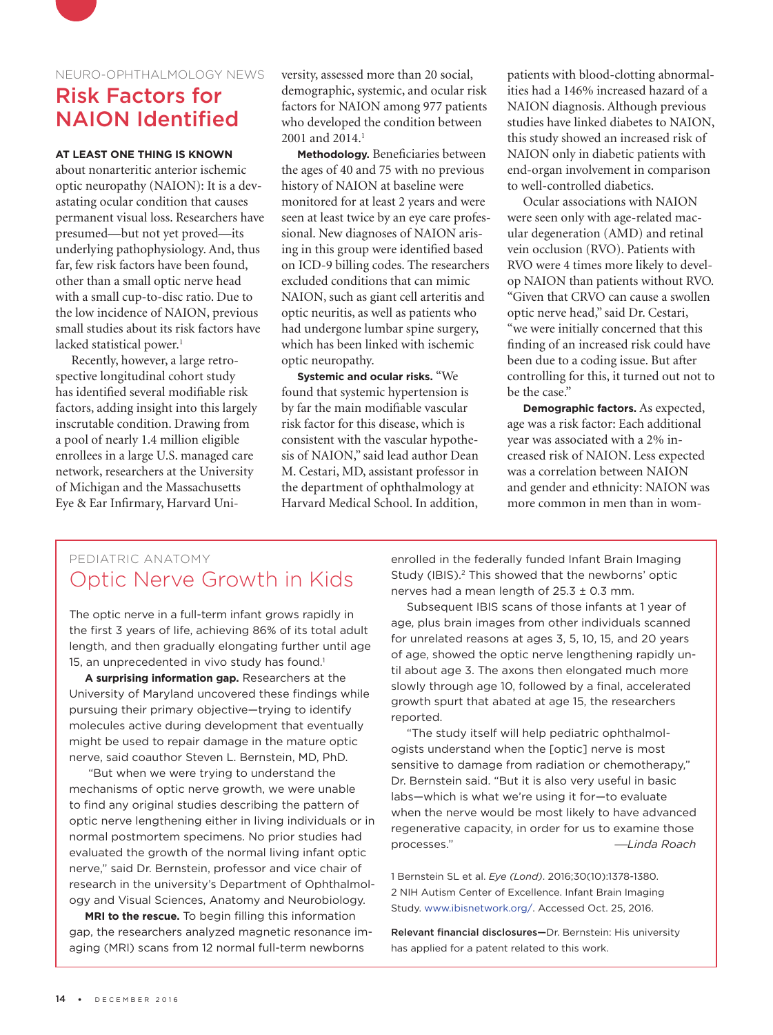## NEURO-OPHTHALMOLOGY NEWS Risk Factors for NAION Identified

#### **AT LEAST ONE THING IS KNOWN**

about nonarteritic anterior ischemic optic neuropathy (NAION): It is a devastating ocular condition that causes permanent visual loss. Researchers have presumed—but not yet proved—its underlying pathophysiology. And, thus far, few risk factors have been found, other than a small optic nerve head with a small cup-to-disc ratio. Due to the low incidence of NAION, previous small studies about its risk factors have lacked statistical power.<sup>1</sup>

Recently, however, a large retrospective longitudinal cohort study has identified several modifiable risk factors, adding insight into this largely inscrutable condition. Drawing from a pool of nearly 1.4 million eligible enrollees in a large U.S. managed care network, researchers at the University of Michigan and the Massachusetts Eye & Ear Infirmary, Harvard University, assessed more than 20 social, demographic, systemic, and ocular risk factors for NAION among 977 patients who developed the condition between 2001 and 2014.<sup>1</sup>

**Methodology.** Beneficiaries between the ages of 40 and 75 with no previous history of NAION at baseline were monitored for at least 2 years and were seen at least twice by an eye care professional. New diagnoses of NAION arising in this group were identified based on ICD-9 billing codes. The researchers excluded conditions that can mimic NAION, such as giant cell arteritis and optic neuritis, as well as patients who had undergone lumbar spine surgery, which has been linked with ischemic optic neuropathy.

**Systemic and ocular risks.** "We found that systemic hypertension is by far the main modifiable vascular risk factor for this disease, which is consistent with the vascular hypothesis of NAION," said lead author Dean M. Cestari, MD, assistant professor in the department of ophthalmology at Harvard Medical School. In addition, patients with blood-clotting abnormalities had a 146% increased hazard of a NAION diagnosis. Although previous studies have linked diabetes to NAION, this study showed an increased risk of NAION only in diabetic patients with end-organ involvement in comparison to well-controlled diabetics.

Ocular associations with NAION were seen only with age-related macular degeneration (AMD) and retinal vein occlusion (RVO). Patients with RVO were 4 times more likely to develop NAION than patients without RVO. "Given that CRVO can cause a swollen optic nerve head," said Dr. Cestari, "we were initially concerned that this finding of an increased risk could have been due to a coding issue. But after controlling for this, it turned out not to be the case."

**Demographic factors.** As expected, age was a risk factor: Each additional year was associated with a 2% increased risk of NAION. Less expected was a correlation between NAION and gender and ethnicity: NAION was more common in men than in wom-

## PEDIATRIC ANATOMY Optic Nerve Growth in Kids

The optic nerve in a full-term infant grows rapidly in the first 3 years of life, achieving 86% of its total adult length, and then gradually elongating further until age 15, an unprecedented in vivo study has found.<sup>1</sup>

**A surprising information gap.** Researchers at the University of Maryland uncovered these findings while pursuing their primary objective—trying to identify molecules active during development that eventually might be used to repair damage in the mature optic nerve, said coauthor Steven L. Bernstein, MD, PhD.

 "But when we were trying to understand the mechanisms of optic nerve growth, we were unable to find any original studies describing the pattern of optic nerve lengthening either in living individuals or in normal postmortem specimens. No prior studies had evaluated the growth of the normal living infant optic nerve," said Dr. Bernstein, professor and vice chair of research in the university's Department of Ophthalmology and Visual Sciences, Anatomy and Neurobiology.

**MRI to the rescue.** To begin filling this information gap, the researchers analyzed magnetic resonance imaging (MRI) scans from 12 normal full-term newborns

enrolled in the federally funded Infant Brain Imaging Study (IBIS).2 This showed that the newborns' optic nerves had a mean length of  $25.3 \pm 0.3$  mm.

Subsequent IBIS scans of those infants at 1 year of age, plus brain images from other individuals scanned for unrelated reasons at ages 3, 5, 10, 15, and 20 years of age, showed the optic nerve lengthening rapidly until about age 3. The axons then elongated much more slowly through age 10, followed by a final, accelerated growth spurt that abated at age 15, the researchers reported.

"The study itself will help pediatric ophthalmologists understand when the [optic] nerve is most sensitive to damage from radiation or chemotherapy," Dr. Bernstein said. "But it is also very useful in basic labs—which is what we're using it for—to evaluate when the nerve would be most likely to have advanced regenerative capacity, in order for us to examine those processes." *—Linda Roach* 

1 Bernstein SL et al. *Eye (Lond)*. 2016;30(10):1378-1380. 2 NIH Autism Center of Excellence. Infant Brain Imaging Study. [www.ibisnetwork.org/](http://www.ibisnetwork.org/). Accessed Oct. 25, 2016.

Relevant financial disclosures—Dr. Bernstein: His university has applied for a patent related to this work.